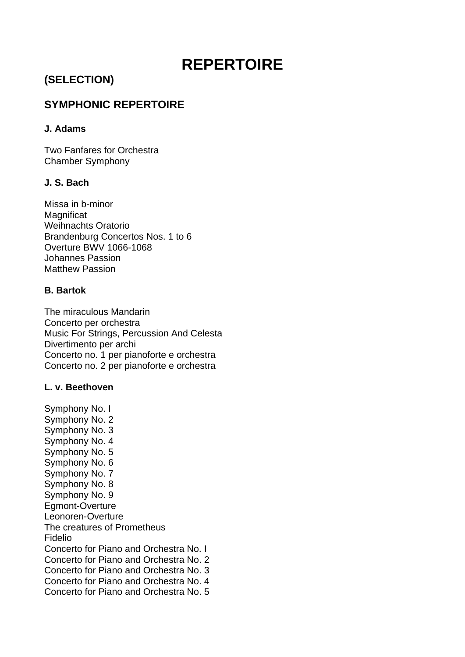# **REPERTOIRE**

# **(SELECTION)**

# **SYMPHONIC REPERTOIRE**

# **J. Adams**

Two Fanfares for Orchestra Chamber Symphony

# **J. S. Bach**

Missa in b-minor **Magnificat** Weihnachts Oratorio Brandenburg Concertos Nos. 1 to 6 Overture BWV 1066-1068 Johannes Passion Matthew Passion

# **B. Bartok**

The miraculous Mandarin Concerto per orchestra Music For Strings, Percussion And Celesta Divertimento per archi Concerto no. 1 per pianoforte e orchestra Concerto no. 2 per pianoforte e orchestra

# **L. v. Beethoven**

Symphony No. I Symphony No. 2 Symphony No. 3 Symphony No. 4 Symphony No. 5 Symphony No. 6 Symphony No. 7 Symphony No. 8 Symphony No. 9 Egmont-Overture Leonoren-Overture The creatures of Prometheus Fidelio Concerto for Piano and Orchestra No. I Concerto for Piano and Orchestra No. 2 Concerto for Piano and Orchestra No. 3 Concerto for Piano and Orchestra No. 4 Concerto for Piano and Orchestra No. 5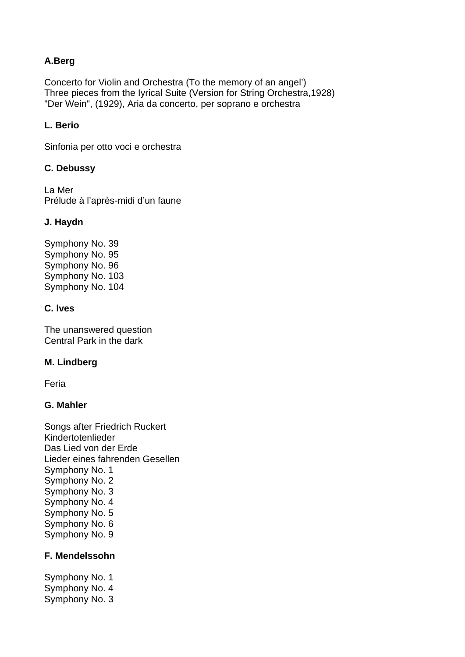# **A.Berg**

Concerto for Violin and Orchestra (To the memory of an angel') Three pieces from the Iyrical Suite (Version for String Orchestra,1928) "Der Wein", (1929), Aria da concerto, per soprano e orchestra

# **L. Berio**

Sinfonia per otto voci e orchestra

# **C. Debussy**

La Mer Prélude à l'après-midi d'un faune

### **J. Haydn**

Symphony No. 39 Symphony No. 95 Symphony No. 96 Symphony No. 103 Symphony No. 104

# **C. lves**

The unanswered question Central Park in the dark

# **M. Lindberg**

Feria

#### **G. Mahler**

Songs after Friedrich Ruckert Kindertotenlieder Das Lied von der Erde Lieder eines fahrenden Gesellen Symphony No. 1 Symphony No. 2 Symphony No. 3 Symphony No. 4 Symphony No. 5 Symphony No. 6 Symphony No. 9

# **F. Mendelssohn**

Symphony No. 1 Symphony No. 4 Symphony No. 3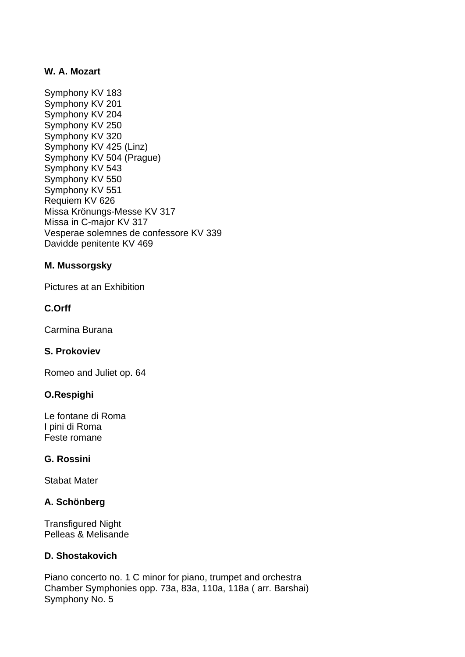# **W. A. Mozart**

Symphony KV 183 Symphony KV 201 Symphony KV 204 Symphony KV 250 Symphony KV 320 Symphony KV 425 (Linz) Symphony KV 504 (Prague) Symphony KV 543 Symphony KV 550 Symphony KV 551 Requiem KV 626 Missa Krönungs-Messe KV 317 Missa in C-major KV 317 Vesperae solemnes de confessore KV 339 Davidde penitente KV 469

### **M. Mussorgsky**

Pictures at an Exhibition

### **C.Orff**

Carmina Burana

#### **S. Prokoviev**

Romeo and Juliet op. 64

#### **O.Respighi**

Le fontane di Roma I pini di Roma Feste romane

#### **G. Rossini**

Stabat Mater

#### **A. Schönberg**

Transfigured Night Pelleas & Melisande

# **D. Shostakovich**

Piano concerto no. 1 C minor for piano, trumpet and orchestra Chamber Symphonies opp. 73a, 83a, 110a, 118a ( arr. Barshai) Symphony No. 5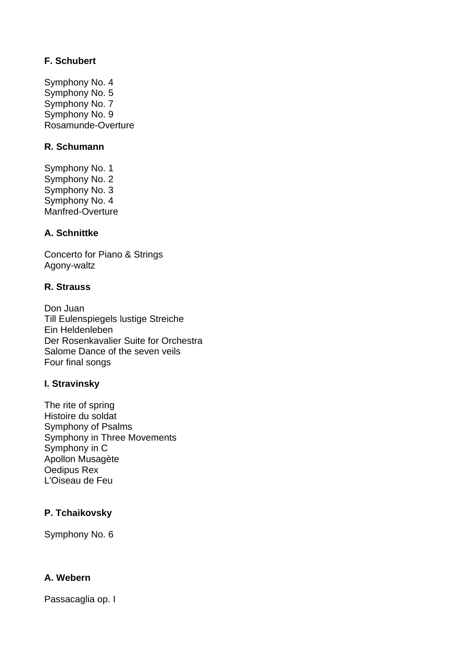# **F. Schubert**

Symphony No. 4 Symphony No. 5 Symphony No. 7 Symphony No. 9 Rosamunde-Overture

# **R. Schumann**

Symphony No. 1 Symphony No. 2 Symphony No. 3 Symphony No. 4 Manfred-Overture

# **A. Schnittke**

Concerto for Piano & Strings Agony-waltz

# **R. Strauss**

Don Juan Till Eulenspiegels lustige Streiche Ein Heldenleben Der Rosenkavalier Suite for Orchestra Salome Dance of the seven veils Four final songs

# **I. Stravinsky**

The rite of spring Histoire du soldat Symphony of Psalms Symphony in Three Movements Symphony in C Apollon Musagète Oedipus Rex L'Oiseau de Feu

# **P. Tchaikovsky**

Symphony No. 6

# **A. Webern**

Passacaglia op. I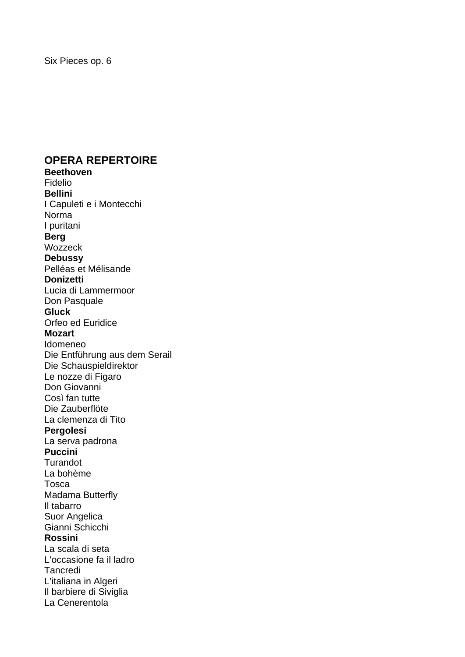# **OPERA REPERTOIRE**

**Beethoven**  Fidelio **Bellini**  I Capuleti e i Montecchi Norma I puritani **Berg**  Wozzeck **Debussy**  Pelléas et Mélisande **Donizetti**  Lucia di Lammermoor Don Pasquale **Gluck**  Orfeo ed Euridice **Mozart**  Idomeneo Die Entführung aus dem Serail Die Schauspieldirektor Le nozze di Figaro Don Giovanni Così fan tutte Die Zauberflöte La clemenza di Tito **Pergolesi**  La serva padrona **Puccini**  Turandot La bohème Tosca Madama Butterfly Il tabarro Suor Angelica Gianni Schicchi **Rossini**  La scala di seta L'occasione fa il ladro **Tancredi** L'italiana in Algeri Il barbiere di Siviglia La Cenerentola